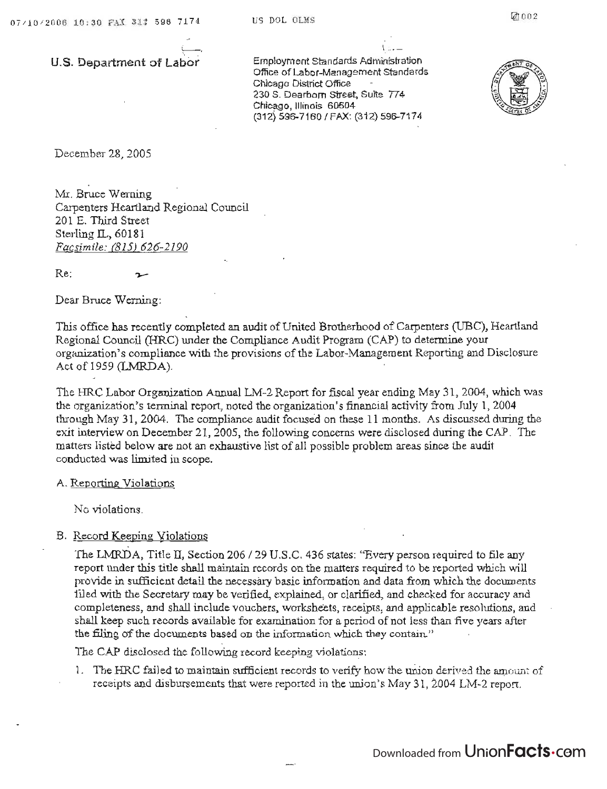U.S. **Department of Labor** 

 $\overline{\phantom{a}}$ 

 $E = \frac{1}{2\pi\epsilon}$  $\alpha$ proyment Standards Administration Office of Labor-Management Standards Chicago District Office 230 S. Dearborn Street, Suite 774 Chicago, Illinois 60604<br>(312) 596-7160 / FAX: (312) 596-7174



December 28, 2005

Mr, Bruce Werning Carpenters Heartland Regional Council 201 E. Third Street Sterling IL, 60181 *Facsimile:* (815) *626-2190* 

Re;

Dear Bruce Werning:

This office has recently completed an audit of United Brotherhood of Carpenters (UBC), Heartland  $R_{\text{max}}$  ( $R_{\text{max}}$ ) (HRC) under the Compliance Audit Program (CAP) to determine your egional Council (FIRC) wider the Compliance Audit Program (CAP) to determine your organization's compliance with the provisions of the Labor-Management Reporting and Disclosure Act of 1959 (LMRDA).

The HRC Labor Organization Annual LM-2 Report for fiscal year ending May 31, 2004, which was the organization's terminal report, noted the organization's financial activity from July 1,2004 through May 31 , 2004, The compliance audit focuse'd on these 11 months. As discussed during the exit interview On December 21, *2005,* the following concerns were disclosed during the CAP. The matters listed below are not an exhaustive list of all possible problem areas since the audit accological water was mot all call.<br>Adverted scope limited in scope.

A. Reporting Violations

No violations.

B. Record Keeping Violations

The LMRDA, Title II, Section 206 / 29 U.S.C. 436 states: "Every person required to file any report under this time shall maintain records on the matters required to be reported which will port middle in sufficient detail the necessary basic information and data from which tile documents  $t_{\rm{tot}}$  the Secretary may be verified, explained, or clarified, and checked for accuracy and completences, and shall include vouchers, worksheets, or claimed, and checked for accuracy and completeness, and shall include vouchers, worksheets, receipts, and applicable resolutions, and shall keep such records available for examination for a period of not less than five years after<br>the filing of the documents based on the information which they contain.''

The CAP disclosed the following record keeping violations:

 $1.$  The HRC failed to maintain sufficient records to verify how the union derived the atl; lower of receive and disbursements that were reported in the union's May 31, 2004 LM-2 report.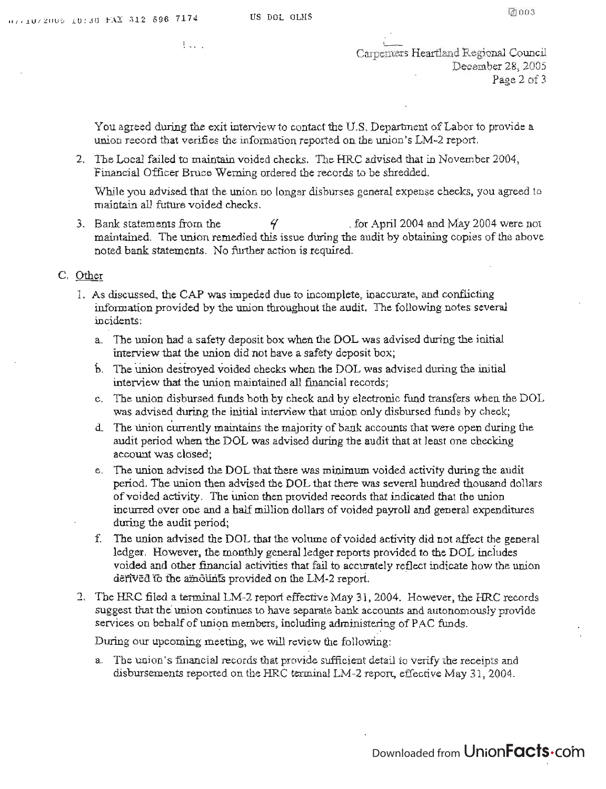$1.1.1$ 

CaJ-pemers Heartland Regional Council

December 28, 2005<br>Page 2 of 3

Regional Council

You agreed during the exit interview to contact the U.S. Department of Labor to provide a  $\mu$  agreed during the exit interview to contact the U.S. Department of Labor to p union record that verifies the information reported on the union's LM-2 report.

2. The Local failed to maintain voided checks. The HRC advised that in November 2004, Financial Officer Bruce Werning ordered the records to be shredded.

While you advised that the union no longer disburses general expense checks, you agreed to

maintain all future voided checks.<br>3. Bank statements from the  $\frac{q}{q}$ for April 2004 and May 2004 were not maintained. The union remedied this issue during the audit by obtaining copies of the above noted bank statements. No further action is required.

- $\frac{1}{2}$  as discussed, the CAP was impeded due to incomplete, in accurate, and conflicting  $\frac{1}{2}$ 1. As discussed, the CAP was impeded due to incomplete, inaccurate, and conflicting information provided by the union throughout the audit. The following notes several incidents: a. The union had a safety deposit box when the DOL was advised during the initial
	- a. The union had a safety deposit box when the DOL was advised during the initial interview that the union did not have a safety deposit box;
	- b. The union destroyed voided checks when the DOL was advised during the initial interview that the union maintained all financial records; met view may me mmolt main afficient and by electronic funds  $\frac{1}{2}$ .
	- $e$  union disbursed funds both by check and by electronic fund transfers when the  $D$ was advised during the initial interview that union only disbursed funds by check;
	- d. The union currently maintains the majority of bank accounts that were open during the audit period when the DOL was advised during the audit that at least one checking account was closed; e. The union advised that the Union advised the DOL that the DOL that the audit during the audit of audit during the audit of audit during the audit of audit during the audit of audit during the audit of audit during the a
	- $p$ e union advised the DOL that there was minimum voided activity during the audit period. The union then advised the DOL that there was several hundred thousand dollars of voided activity. The union then provided records that indicated that the union incurred over one and a half million dollars of voided payroll and general expenditures during the audit period;  $\frac{1}{2}$  for a duck period,  $\frac{1}{2}$  that the volume of volume of volume of volume of  $\frac{1}{2}$
	- e union advised the DOL that the volume of voided activity did not affect the genera ledger. However, the monthly general ledger reports provided to the DOL includes voided and other financial activities that fail to accurately reflect indicate how the union derived to the amounts provided on the LM-2 report.
- 2. The HRC filed a terminal LM-2 report effective May 31, 2004. However, the HRC records suggest that the union continues to have separate bank accounts and autonomously provide. services on behalf of union members, including administering of PAC funds.

During our upcoming meeting, we will review the following:

a. The union's financial records that provide sufficient detail to verify the receipts and disbursements reported on the HRC terminal LM-2 report, effective May 31, 2004.

Downloaded from Union**Facts**.com